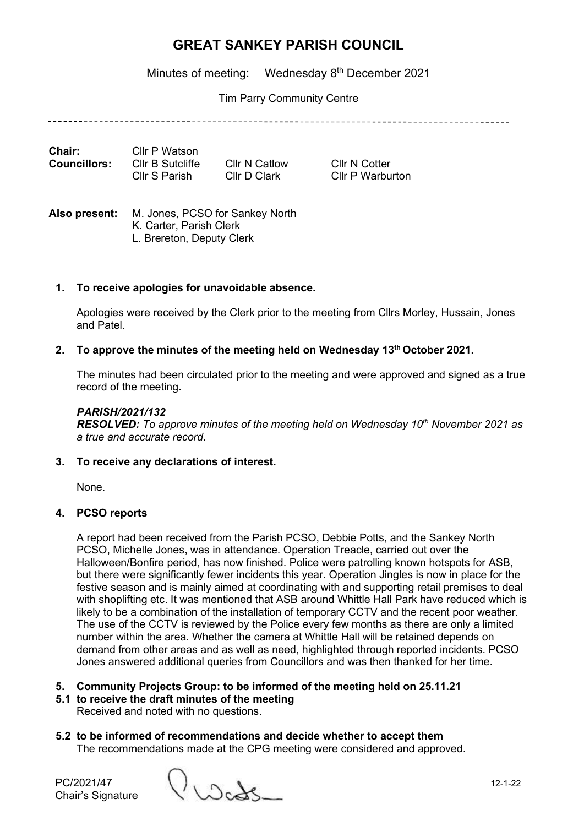Minutes of meeting: Wednesday 8<sup>th</sup> December 2021

Tim Parry Community Centre

| <b>Chair:</b>       | Cllr P Watson                     |                                      |                                   |
|---------------------|-----------------------------------|--------------------------------------|-----------------------------------|
| <b>Councillors:</b> | Cllr B Sutcliffe<br>Cllr S Parish | <b>CIIr N Catlow</b><br>Cllr D Clark | Cllr N Cotter<br>Cllr P Warburton |
|                     |                                   |                                      |                                   |

| <b>Also present:</b> M. Jones, PCSO for Sankey North |
|------------------------------------------------------|
| K. Carter, Parish Clerk                              |
| L. Brereton, Deputy Clerk                            |

# **1. To receive apologies for unavoidable absence.**

Apologies were received by the Clerk prior to the meeting from Cllrs Morley, Hussain, Jones and Patel.

# **2. To approve the minutes of the meeting held on Wednesday 13th October 2021.**

The minutes had been circulated prior to the meeting and were approved and signed as a true record of the meeting.

#### *PARISH/2021/132*

*RESOLVED: To approve minutes of the meeting held on Wednesday 10 th November 2021 as a true and accurate record.*

# **3. To receive any declarations of interest.**

None.

# **4. PCSO reports**

A report had been received from the Parish PCSO, Debbie Potts, and the Sankey North PCSO, Michelle Jones, was in attendance. Operation Treacle, carried out over the Halloween/Bonfire period, has now finished. Police were patrolling known hotspots for ASB, but there were significantly fewer incidents this year. Operation Jingles is now in place for the festive season and is mainly aimed at coordinating with and supporting retail premises to deal with shoplifting etc. It was mentioned that ASB around Whittle Hall Park have reduced which is likely to be a combination of the installation of temporary CCTV and the recent poor weather. The use of the CCTV is reviewed by the Police every few months as there are only a limited number within the area. Whether the camera at Whittle Hall will be retained depends on demand from other areas and as well as need, highlighted through reported incidents. PCSO Jones answered additional queries from Councillors and was then thanked for her time.

- **5. Community Projects Group: to be informed of the meeting held on 25.11.21**
- **5.1 to receive the draft minutes of the meeting** Received and noted with no questions.
- 
- **5.2 to be informed of recommendations and decide whether to accept them** The recommendations made at the CPG meeting were considered and approved.

Chair's Signature

 $PC/2021/47$ <br>Chair's Signature  $\bigcup_{\text{Co}}\bigcup_{\text{Co}}\bigcup_{\text{Co}}\bigcup_{\text{Co}}\bigcup_{\text{Co}}\bigcup_{\text{Co}}\bigcup_{\text{Co}}\bigcup_{\text{Co}}\bigcup_{\text{Co}}\bigcup_{\text{Co}}\bigcup_{\text{Co}}\bigcup_{\text{Co}}\bigcup_{\text{Co}}\bigcup_{\text{Co}}\bigcup_{\text{Co}}\bigcup_{\text{Co}}\bigcup_{\text{Co}}\bigcup_{\text{Co}}\bigcup_{\text{Co}}\bigcup_{\text{Co}}\bigcup_{\text{Co}}\$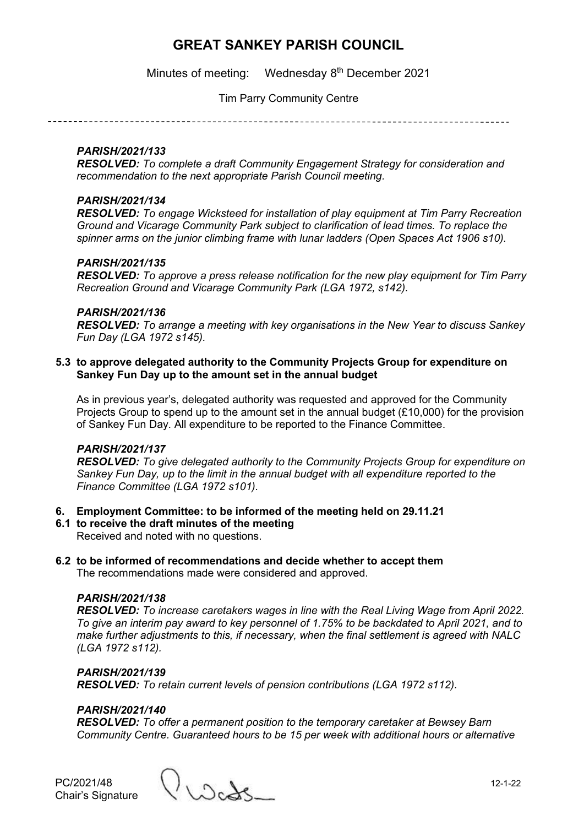Minutes of meeting: Wednesday 8<sup>th</sup> December 2021

Tim Parry Community Centre

# *PARISH/2021/133*

*RESOLVED: To complete a draft Community Engagement Strategy for consideration and recommendation to the next appropriate Parish Council meeting.*

# *PARISH/2021/134*

*RESOLVED: To engage Wicksteed for installation of play equipment at Tim Parry Recreation Ground and Vicarage Community Park subject to clarification of lead times. To replace the spinner arms on the junior climbing frame with lunar ladders (Open Spaces Act 1906 s10).*

# *PARISH/2021/135*

*RESOLVED: To approve a press release notification for the new play equipment for Tim Parry Recreation Ground and Vicarage Community Park (LGA 1972, s142).*

# *PARISH/2021/136*

*RESOLVED: To arrange a meeting with key organisations in the New Year to discuss Sankey Fun Day (LGA 1972 s145).*

### **5.3 to approve delegated authority to the Community Projects Group for expenditure on Sankey Fun Day up to the amount set in the annual budget**

As in previous year's, delegated authority was requested and approved for the Community Projects Group to spend up to the amount set in the annual budget (£10,000) for the provision of Sankey Fun Day. All expenditure to be reported to the Finance Committee.

# *PARISH/2021/137*

*RESOLVED: To give delegated authority to the Community Projects Group for expenditure on Sankey Fun Day, up to the limit in the annual budget with all expenditure reported to the Finance Committee (LGA 1972 s101).*

- **6. Employment Committee: to be informed of the meeting held on 29.11.21**
- **6.1 to receive the draft minutes of the meeting** Received and noted with no questions.
- **6.2 to be informed of recommendations and decide whether to accept them** The recommendations made were considered and approved.

# *PARISH/2021/138*

*RESOLVED: To increase caretakers wages in line with the Real Living Wage from April 2022. To give an interim pay award to key personnel of 1.75% to be backdated to April 2021, and to make further adjustments to this, if necessary, when the final settlement is agreed with NALC (LGA 1972 s112).*

# *PARISH/2021/139*

*RESOLVED: To retain current levels of pension contributions (LGA 1972 s112).*

# *PARISH/2021/140*

*RESOLVED: To offer a permanent position to the temporary caretaker at Bewsey Barn Community Centre. Guaranteed hours to be 15 per week with additional hours or alternative* 

Chair's Signature

PC/2021/48  $\bigcup_{\Delta \subset \Delta}$  12-1-22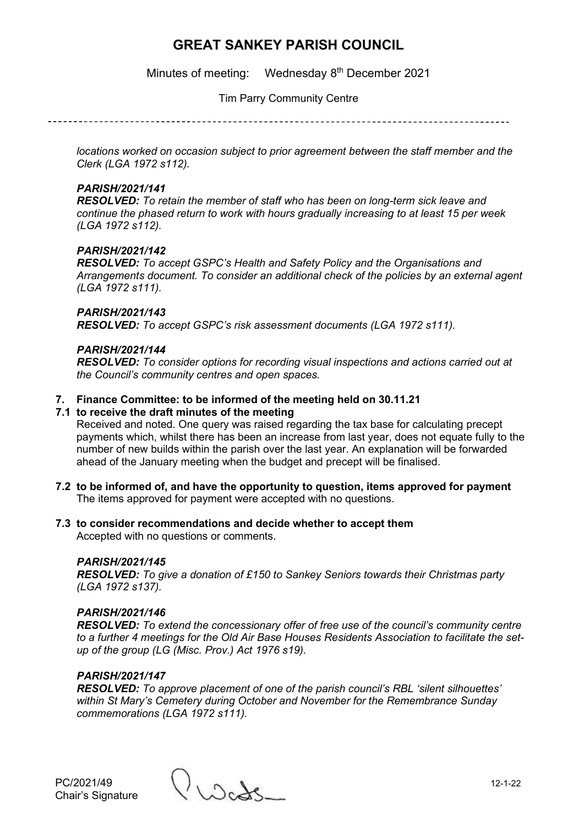Minutes of meeting: Wednesday 8<sup>th</sup> December 2021

Tim Parry Community Centre

*locations worked on occasion subject to prior agreement between the staff member and the Clerk (LGA 1972 s112).*

### *PARISH/2021/141*

*RESOLVED: To retain the member of staff who has been on long-term sick leave and continue the phased return to work with hours gradually increasing to at least 15 per week (LGA 1972 s112).*

# *PARISH/2021/142*

*RESOLVED: To accept GSPC's Health and Safety Policy and the Organisations and Arrangements document. To consider an additional check of the policies by an external agent (LGA 1972 s111).*

### *PARISH/2021/143*

*RESOLVED: To accept GSPC's risk assessment documents (LGA 1972 s111).*

# *PARISH/2021/144*

*RESOLVED: To consider options for recording visual inspections and actions carried out at the Council's community centres and open spaces.*

# **7. Finance Committee: to be informed of the meeting held on 30.11.21**

### **7.1 to receive the draft minutes of the meeting**

Received and noted. One query was raised regarding the tax base for calculating precept payments which, whilst there has been an increase from last year, does not equate fully to the number of new builds within the parish over the last year. An explanation will be forwarded ahead of the January meeting when the budget and precept will be finalised.

- **7.2 to be informed of, and have the opportunity to question, items approved for payment**  The items approved for payment were accepted with no questions.
- **7.3 to consider recommendations and decide whether to accept them** Accepted with no questions or comments.

# *PARISH/2021/145*

*RESOLVED: To give a donation of £150 to Sankey Seniors towards their Christmas party (LGA 1972 s137).*

#### *PARISH/2021/146*

*RESOLVED: To extend the concessionary offer of free use of the council's community centre to a further 4 meetings for the Old Air Base Houses Residents Association to facilitate the setup of the group (LG (Misc. Prov.) Act 1976 s19).*

#### *PARISH/2021/147*

*RESOLVED: To approve placement of one of the parish council's RBL 'silent silhouettes' within St Mary's Cemetery during October and November for the Remembrance Sunday commemorations (LGA 1972 s111).*

PC/2021/49  $\bigcup_{\Delta \subset \Delta} \bigcup_{\Delta \subset \Delta}$  12-1-22